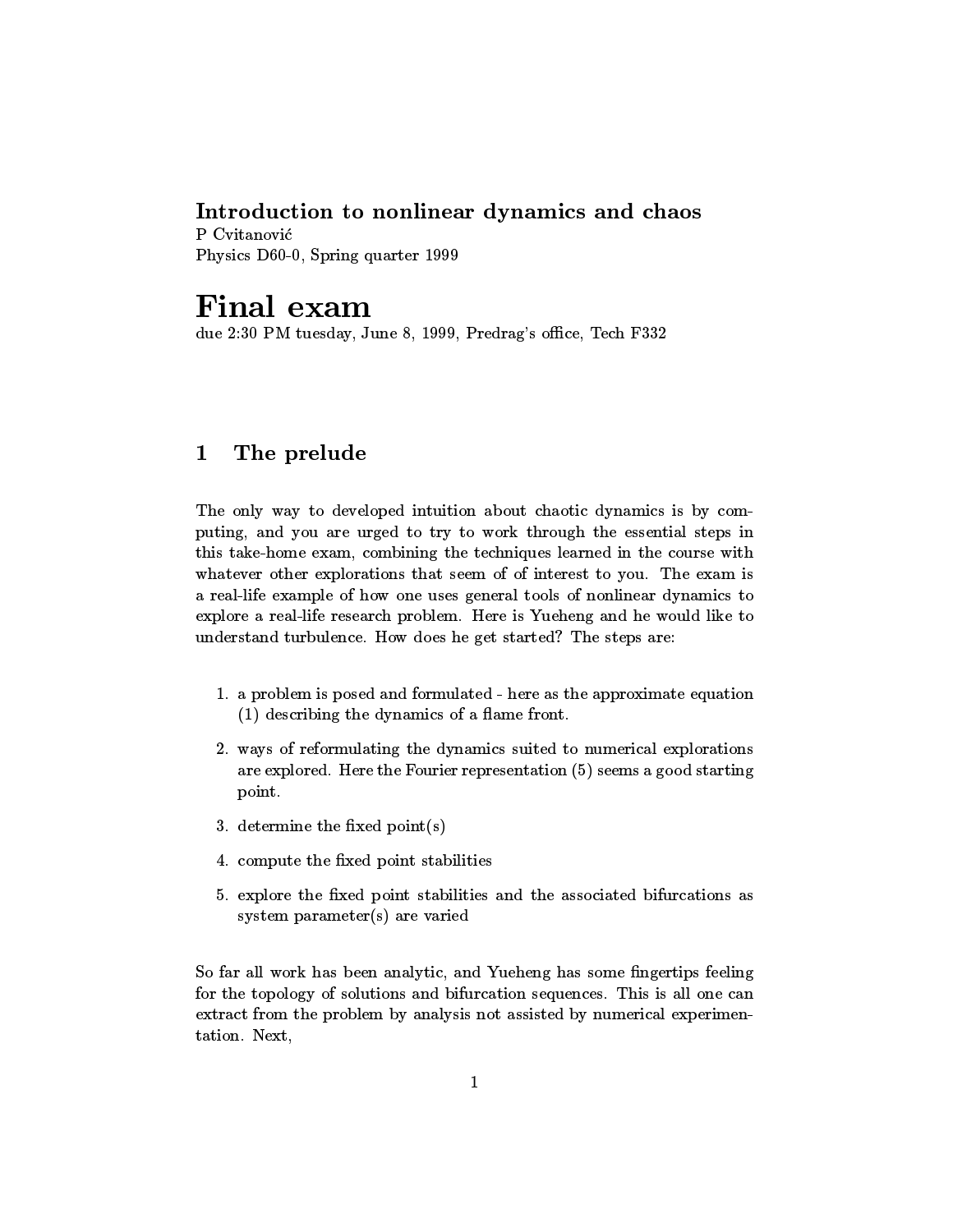# Introduction to nonlinear dynamics and chaos

Physics D60-0, Spring quarter 1999

# Final exam

due 2:30 PM tuesday, June 8, 1999, Predrag's office, Tech F332

### 1The prelude

The only way to developed intuition about chaotic dynamics is by computing, and you are urged to try to work through the essential steps in this take-home exam, combining the techniques learned in the course with whatever other explorations that seem of of interest to you. The exam is a real-life example of how one uses general tools of nonlinear dynamics to explore a real-life research problem. Here is Yueheng and he would like to understand turbulence. How does he get started? The steps are:

- 1. a problem is posed and formulated here as the approximate equation  $(1)$  describing the dynamics of a flame front.
- 2. ways of reformulating the dynamics suited to numerical explorations are explored. Here the Fourier representation (5) seems a good starting point.
- 3. determine the fixed  $point(s)$
- 4. compute the fixed point stabilities
- 5. explore the xed point stabilities and the associated bifurcations as system parameter(s) are varied

So far all work has been analytic, and Yueheng has some fingertips feeling for the topology of solutions and bifurcation sequences. This is all one can extract from the problem by analysis not assisted by numerical experimentation. Next,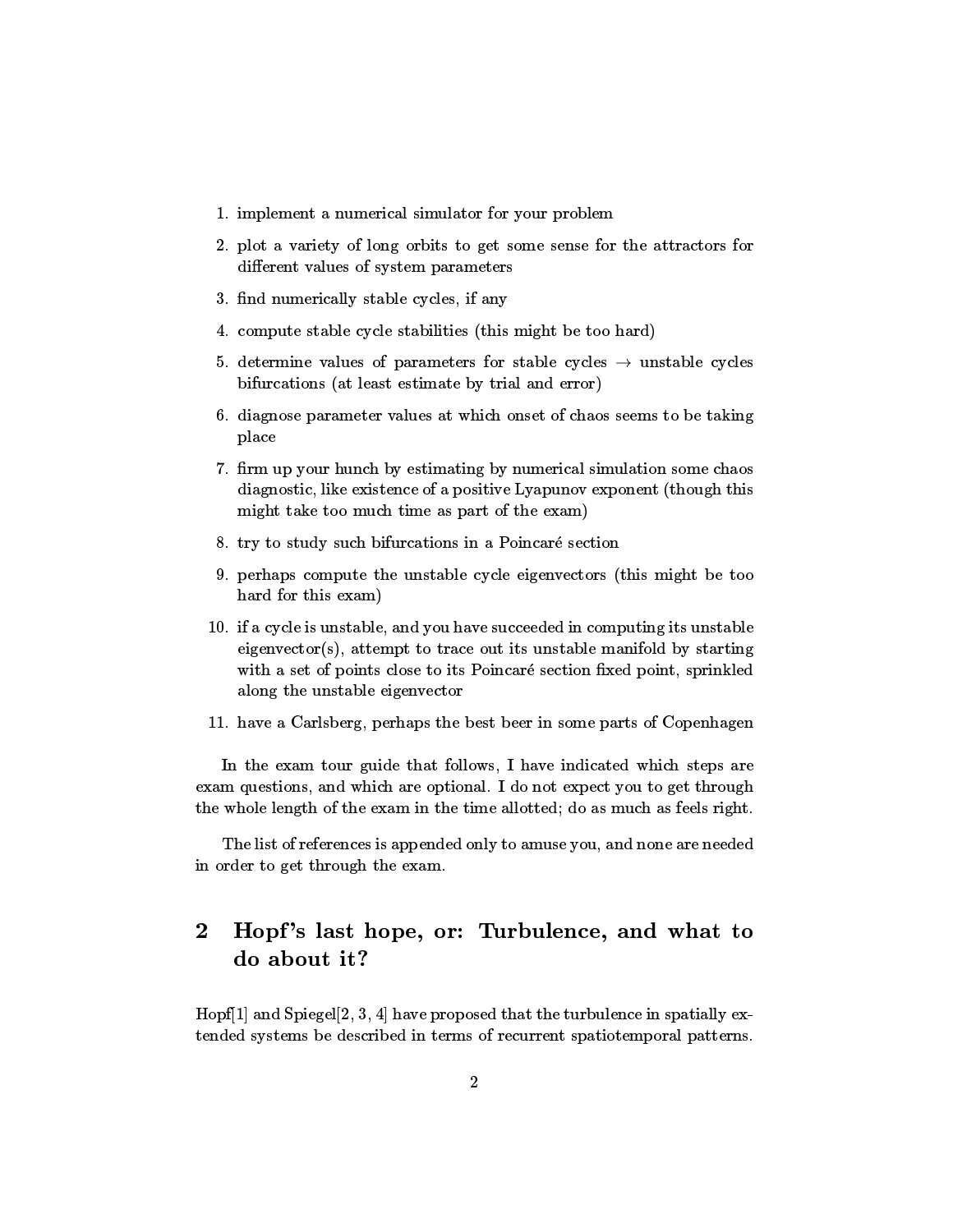- 1. implement a numerical simulator for your problem
- 2. plot a variety of long orbits to get some sense for the attractors for different values of system parameters
- 3. find numerically stable cycles, if any
- 4. compute stable cycle stabilities (this might be too hard)
- 5. determine values of parameters for stable cycles  $\rightarrow$  unstable cycles bifurcations (at least estimate by trial and error)
- 6. diagnose parameter values at which onset of chaos seems to be taking place
- 7. firm up your hunch by estimating by numerical simulation some chaos diagnostic, like existence of a positive Lyapunov exponent (though this might take too much time as part of the exam)
- 8. try to study such bifurcations in a Poincaré section
- 9. perhaps compute the unstable cycle eigenvectors (this might be too hard for this exam)
- 10. if a cycle is unstable, and you have succeeded in computing its unstable eigenvector(s), attempt to trace out its unstable manifold by starting with a set of points close to its Poincaré section fixed point, sprinkled along the unstable eigenvector
- 11. have a Carlsberg, perhaps the best beer in some parts of Copenhagen

In the exam tour guide that follows, I have indicated which steps are exam questions, and which are optional. I do not expect you to get through the whole length of the exam in the time allotted; do as much as feels right.

The list of references is appended only to amuse you, and none are needed in order to get through the exam.

## 2Hopf's last hope, or: Turbulence, and what to do about it?

Hopf<sup>[1]</sup> and Spiegel<sup>[2]</sup>, 3, 4<sup>]</sup> have proposed that the turbulence in spatially extended systems be described in terms of recurrent spatiotemporal patterns.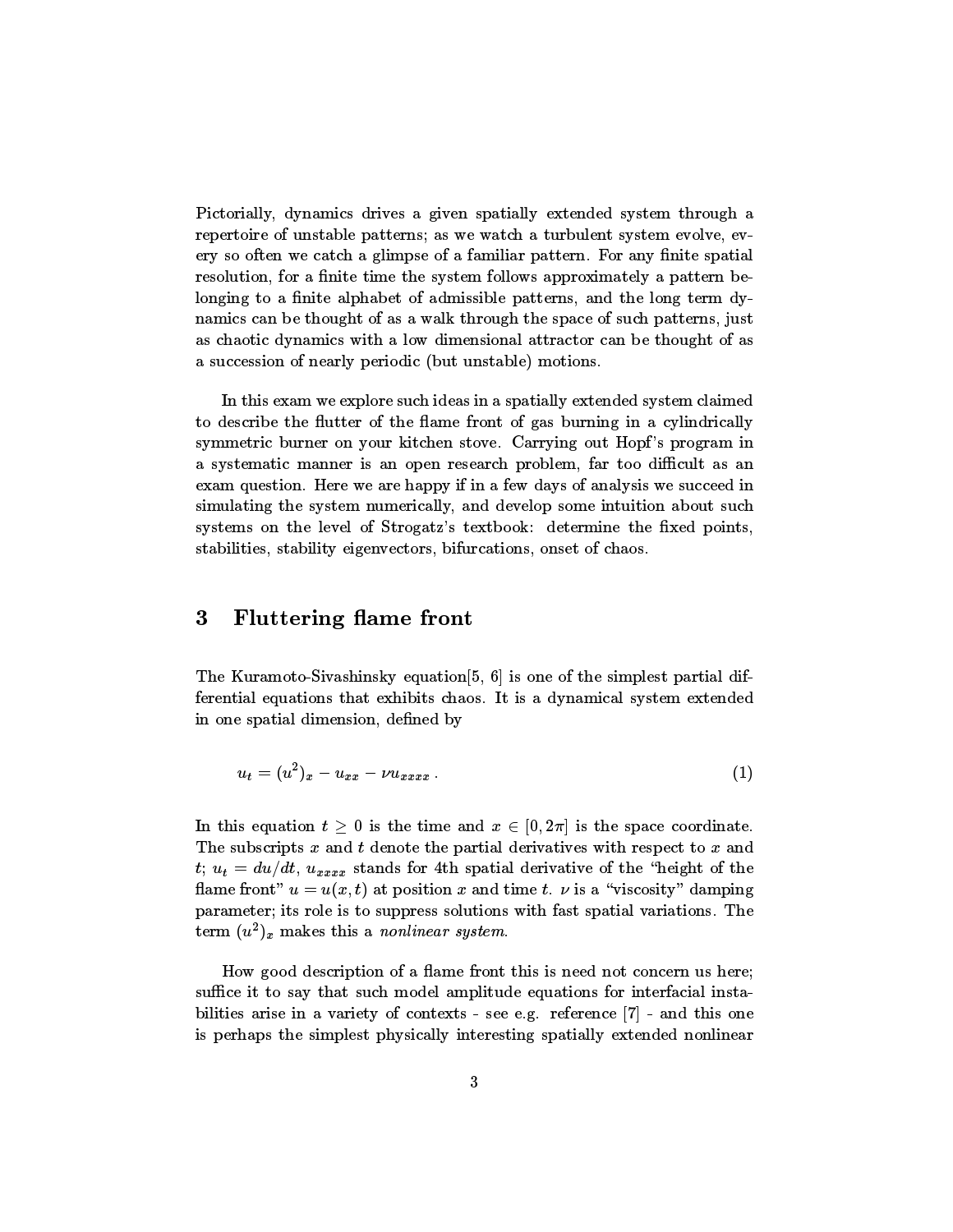Pictorially, dynamics drives a given spatially extended system through a repertoire of unstable patterns; as we watch aturbulent system evolve, every so often we catch a glimpse of a familiar pattern. For any finite spatial resolution, for a finite time the system follows approximately a pattern belonging to a finite alphabet of admissible patterns, and the long term dynamics can be thought of as a walk through thespace of such patterns, just as chaotic dynamics with alow dimensional attractor can be thought of as a succession of nearly periodic (but unstable) motions.

In this exam we explore such ideas in a spatially extended system claimed to describe the flutter of the flame front of gas burning in a cylindrically symmetric burner on your kitchen stove. Carrying out Hopf's program in a systematic manner is an open research problem, far too difficult as an exam question. Here we are happy if in a few days of analysis we succeed in simulating the system numerically, and develop some intuition about such systems on the level of Strogatz's textbook: determine the fixed points, stabilities, stability eigenvectors, bifurcations, onset of chaos.

#### 3Fluttering flame front

The Kuramoto-Sivashinsky equation  $[5, 6]$  is one of the simplest partial differential equations that exhibits chaos. It is a dynamical system extended in one spatial dimension, defined by

$$
u_t = (u^2)_x - u_{xx} - \nu u_{xxxx} \,.
$$

In this equation  $t \geq 0$  is the time and  $x \in [0, 2\pi]$  is the space coordinate. The subscripts  $x$  and  $t$  denote the partial derivatives with respect to  $x$  and t;  $u_t = du/dt$ ,  $u_{xxxx}$  stands for 4th spatial derivative of the "height of the flame front"  $u = u(x, t)$  at position x and time t.  $\nu$  is a "viscosity" damping parameter; its role is to suppress solutions with fast spatial variations. The term  $(u^-)_x$  makes this a *nontinear system*.

How good description of a flame front this is need not concern us here; suffice it to say that such model amplitude equations for interfacial instabilities arise in a variety of contexts - see e.g. reference  $[7]$  - and this one is perhaps the simplest physically interesting spatially extended nonlinear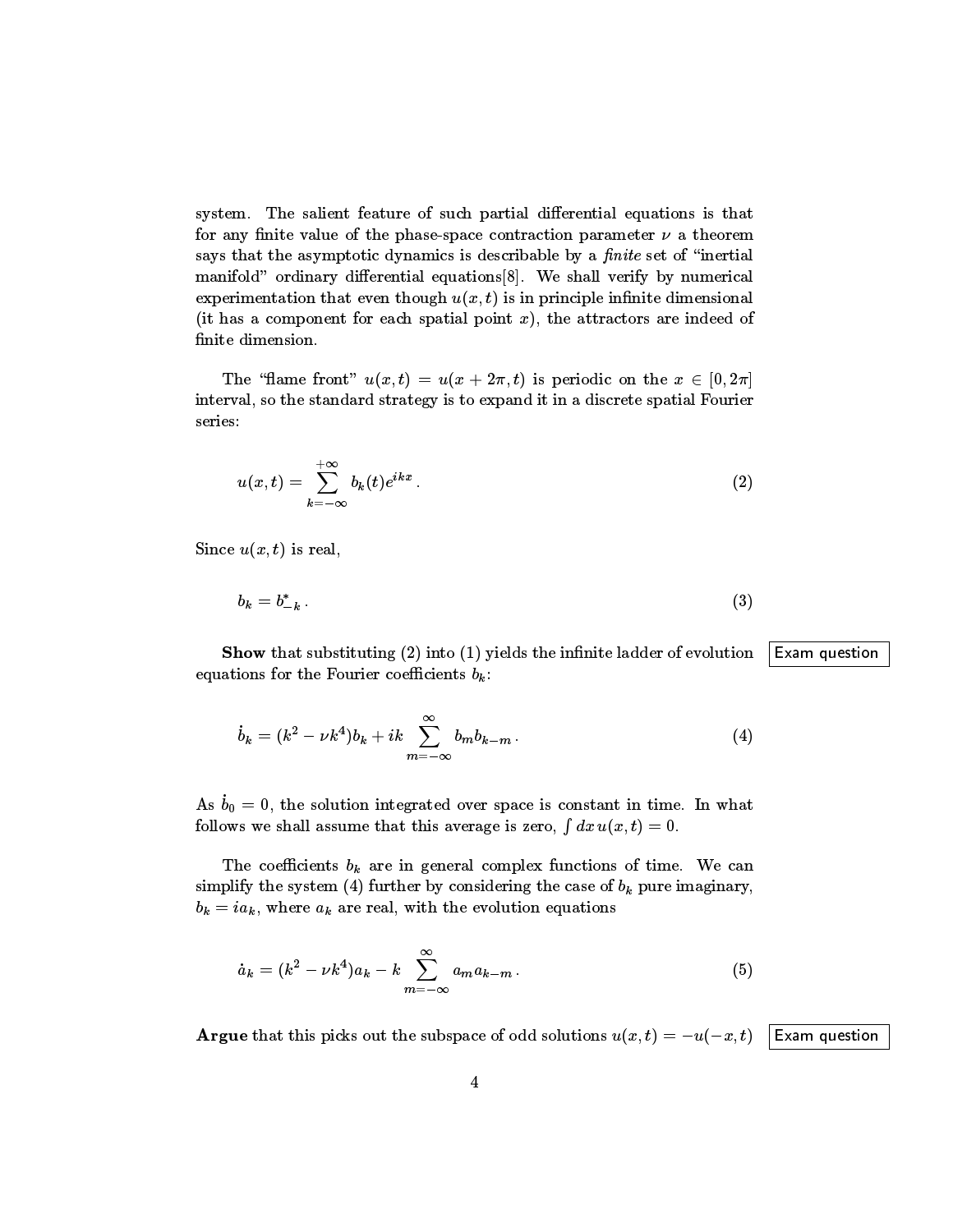system. The salient feature of such partial differential equations is that for any finite value of the phase-space contraction parameter  $\nu$  a theorem says that the asymptotic dynamics is describable by a *finite* set of "inertial manifold" ordinary differential equations[8]. We shall verify by numerical experimentation that even though  $u(x, t)$  is in principle infinite dimensional (it has a component for each spatial point  $x$ ), the attractors are indeed of finite dimension.

The "flame front"  $u(x, t) = u(x + 2\pi, t)$  is periodic on the  $x \in [0, 2\pi]$ interval, so the standard strategy is to expand it in a discrete spatial Fourier series:

$$
u(x,t) = \sum_{k=-\infty}^{+\infty} b_k(t)e^{ikx}.
$$
 (2)

Since  $u(x, t)$  is real,

$$
b_k = b_{-k}^* \tag{3}
$$

**Show** that substituting (2) into (1) yields the infinite ladder of evolution Exam question equations for the Fourier coefficients  $b_k$ :

$$
\dot{b}_k = (k^2 - \nu k^4) b_k + ik \sum_{m = -\infty}^{\infty} b_m b_{k-m} . \tag{4}
$$

As  $b_0 = 0$ , the solution integrated over space is constant in time. In what follows we shall assume that this average is zero,  $\int dx u(x, t) = 0$ .

The coefficients  $b_k$  are in general complex functions of time. We can simplify the system (4) further by considering the case of  $b_k$  pure imaginary,  $b_k = ia_k$ , where  $a_k$  are real, with the evolution equations

$$
\dot{a}_k = (k^2 - \nu k^4) a_k - k \sum_{m = -\infty}^{\infty} a_m a_{k-m} \,. \tag{5}
$$

**Argue** that this picks out the subspace of odd solutions  $u(x, t) = -u(-x, t)$  Exam question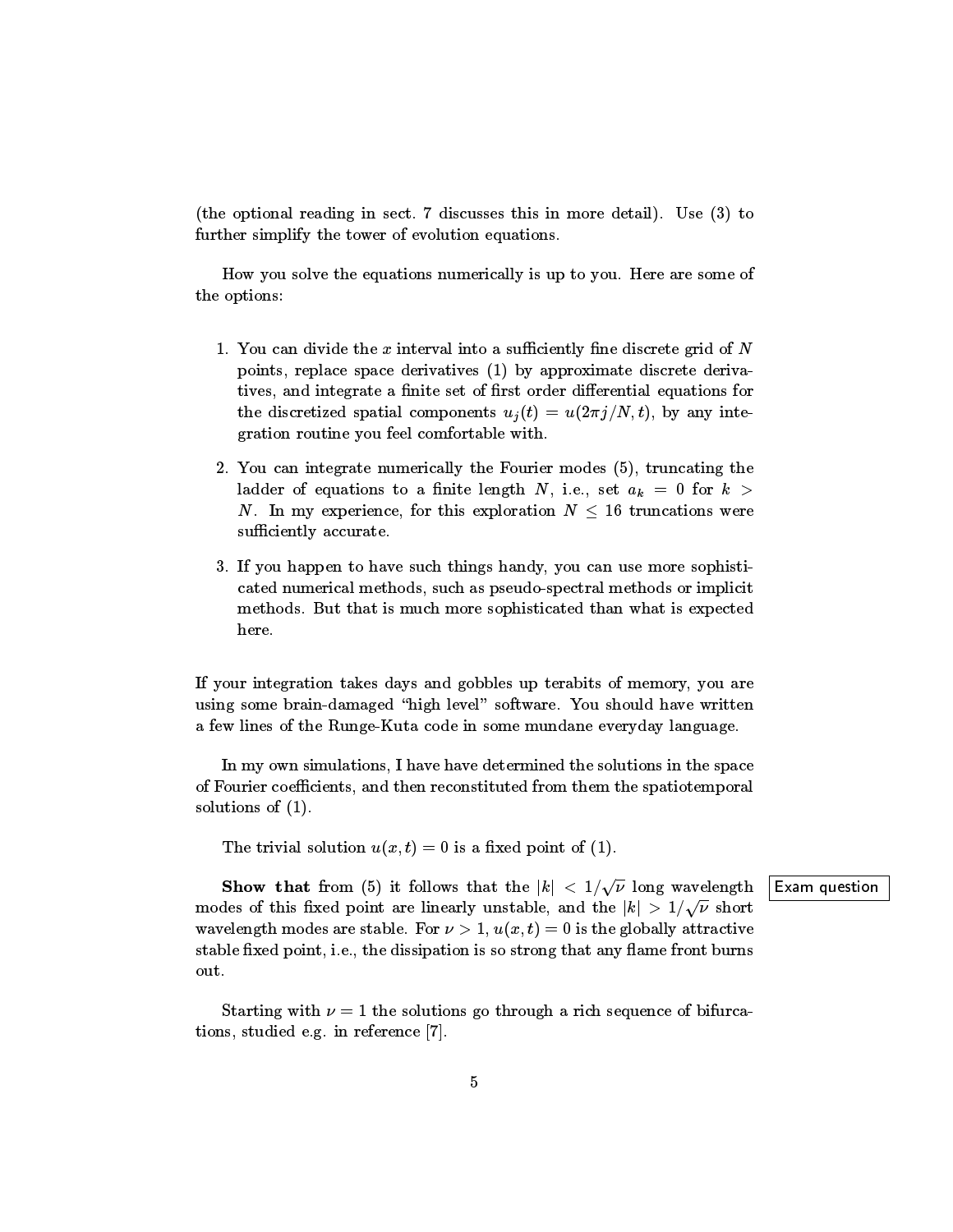(the optional reading in sect. 7 discusses this in more detail). Use (3) to further simplify the tower of evolution equations.

How you solve the equations numerically is up to you. Here are some of the options:

- 1. You can divide the  $x$  interval into a sufficiently fine discrete grid of  $N$ points, replace space derivatives (1) by approximate discrete derivatives, and integrate a finite set of first order differential equations for the discretized spatial components  $u_i(t) = u(2\pi i/N, t)$ , by any integration routine you feel comfortable with.
- 2. You can integrate numerically the Fourier modes (5), truncating the ladder of equations to a finite length N, i.e., set  $a_k = 0$  for  $k >$ N. In my experience, for this exploration  $N \leq 16$  truncations were sufficiently accurate.
- 3. If you happen to have such things handy, you can usemore sophisticated numerical methods, such as pseudo-spectral methods or implicit methods. But that is much more sophisticated than what is expected here.

If your integration takes days and gobbles up terabits of memory, you are using some brain-damaged "high level" software. You should have written a few lines of the Runge-Kuta code in some mundane everyday language.

In my own simulations, I have have determined the solutions in the space of Fourier coefficients, and then reconstituted from them the spatiotemporal solutions of (1).

The trivial solution  $u(x,t) = 0$  is a fixed point of (1).

**Show that** from (5) it follows that the  $|k| < 1/\sqrt{\nu}$  long wavelength **Exam question** modes of this fixed point are linearly unstable, and the  $|k| > 1/\sqrt{\nu}$  short wavelength modes are stable. For  $\nu > 1$ ,  $u(x, t) = 0$  is the globally attractive stable fixed point, i.e., the dissipation is so strong that any flame front burns out.

Starting with  $\nu = 1$  the solutions go through a rich sequence of bifurcations, studied e.g. in reference [7].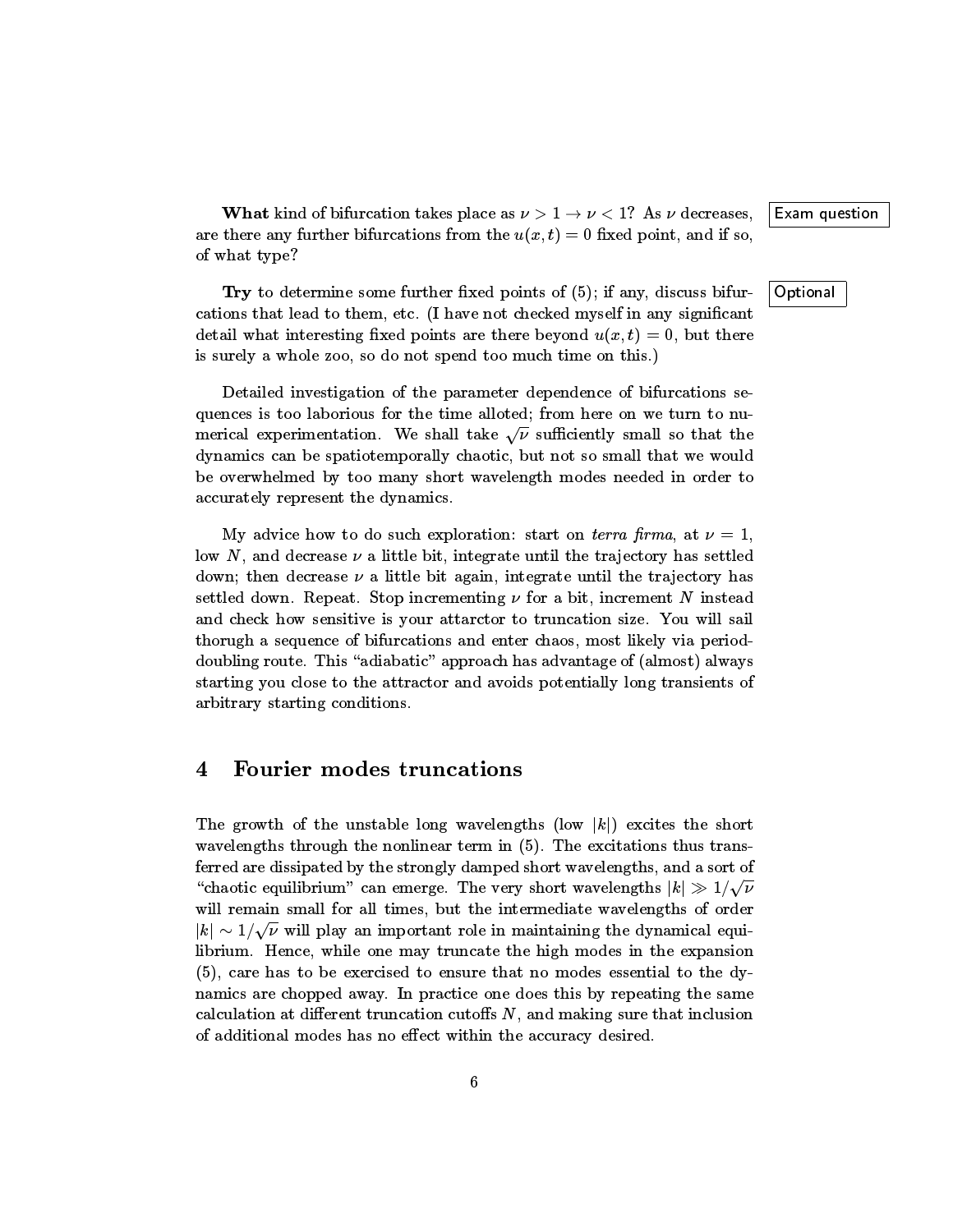What kind of bifurcation takes place as  $\nu > 1 \rightarrow \nu < 1$ ? As  $\nu$  decreases, Exam question are there any further bifurcations from the  $u(x, t) = 0$  fixed point, and if so, of what type?

**Try** to determine some further fixed points of  $(5)$ ; if any, discuss bifur-  $\vert$  Optional cations that lead to them, etc. (I have not checked myself in any signicant detail what interesting fixed points are there beyond  $u(x, t) = 0$ , but there is surely a whole zoo, so do not spend too much time on this.)

Detailed investigation of the parameter dependence of bifurcations sequences is too laborious for the time alloted; from here on we turn to numerical experimentation. We shall take  $\sqrt{\nu}$  sufficiently small so that the dynamics can be spatiotemporally chaotic, but not so small that we would be overwhelmed by too many short wavelength modes needed in order to accurately represent the dynamics.

My advice how to do such exploration: start on *terra firma*, at  $\nu = 1$ , low N, and decrease  $\nu$  a little bit, integrate until the trajectory has settled down; then decrease  $\nu$  a little bit again, integrate until the trajectory has settled down. Repeat. Stop incrementing  $\nu$  for a bit, increment N instead and check how sensitive is your attarctor to truncation size. You will sail thorugh a sequence of bifurcations and enter chaos, most likely via perioddoubling route. This "adiabatic" approach has advantage of (almost) always starting you close to the attractor and avoids potentially long transients of arbitrary starting conditions.

#### 4Fourier modes truncations

The growth of the unstable long wavelengths (low  $|k|$ ) excites the short wavelengths through the nonlinear term in  $(5)$ . The excitations thus transferred are dissipated by the strongly damped short wavelengths, and a sort of "chaotic equilibrium" can emerge. The very short wavelengths  $|k| \gg 1/\sqrt{\nu}$ will remain small for all times, but the intermediate wavelengths of order  $|k| \sim 1/\sqrt{\nu}$  will play an important role in maintaining the dynamical equilibrium. Hence, while one may truncate the high modes in the expansion (5), care has to be exercised to ensure that no modes essential to the dynamics are chopped away. In practice one does this by repeating the same calculation at different truncation cutoffs  $N$ , and making sure that inclusion of additional modes has no effect within the accuracy desired.

6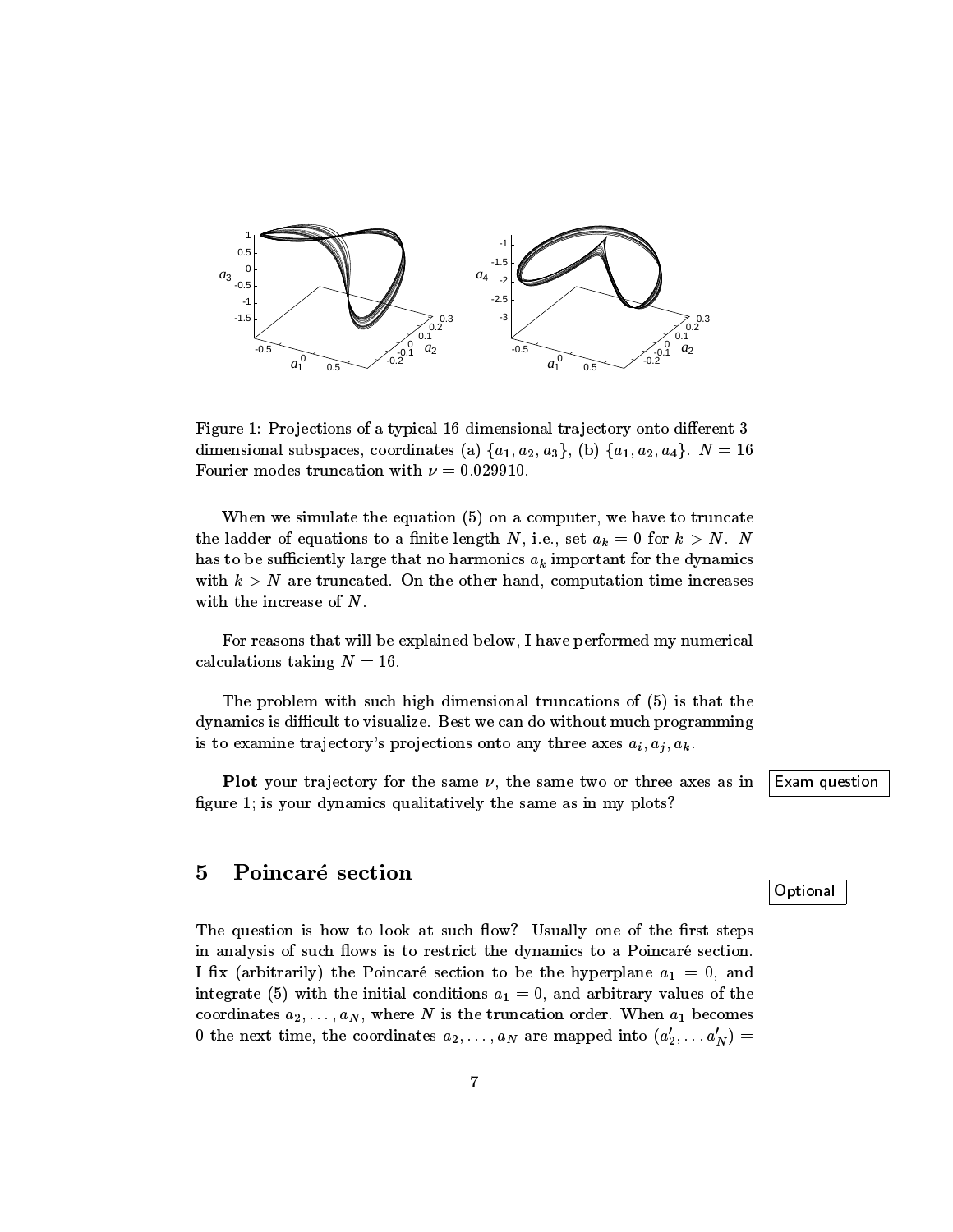

Figure 1: Projections of a typical 16-dimensional trajectory onto different 3dimensional subspaces, coordinates (a)  $\{a_1, a_2, a_3\}$ , (b)  $\{a_1, a_2, a_4\}$ .  $N = 16$ Fourier modes truncation with  $\nu = 0.029910$ .

When we simulate the equation (5) on acomputer, we have to truncate the ladder of equations to a finite length N, i.e., set  $a_k = 0$  for  $k > N$ . N has to be sufficiently large that no harmonics  $a_k$  important for the dynamics with  $k > N$  are truncated. On the other hand, computation time increases with the increase of  $N$ .<br>For reasons that will be explained below, I have performed my numerical

calculations taking  $N = 16$ .

The problem with such high dimensional truncations of (5) is that the dynamics is difficult to visualize. Best we can do without much programming is to examine trajectory's projections onto any three axes  $a_i, a_j, a_k$ .

Plot your trajectory for the same  $\nu$ , the same two or three axes as in Exam question figure 1; is your dynamics qualitatively the same as in my plots?

### 5Poincaré section

The question is how to look at such flow? Usually one of the first steps in analysis of such flows is to restrict the dynamics to a Poincaré section. I fix (arbitrarily) the Poincaré section to be the hyperplane  $a_1 = 0$ , and integrate (5) with the initial conditions  $a_1 = 0$ , and arbitrary values of the coordinates  $a_2,\ldots,a_N$ , where N is the truncation order. When  $a_1$  becomes 0 the next time, the coordinates  $a_2,\ldots,a_N$  are mapped into  $(a'_2,\ldots,a'_N)$  =

**Optional**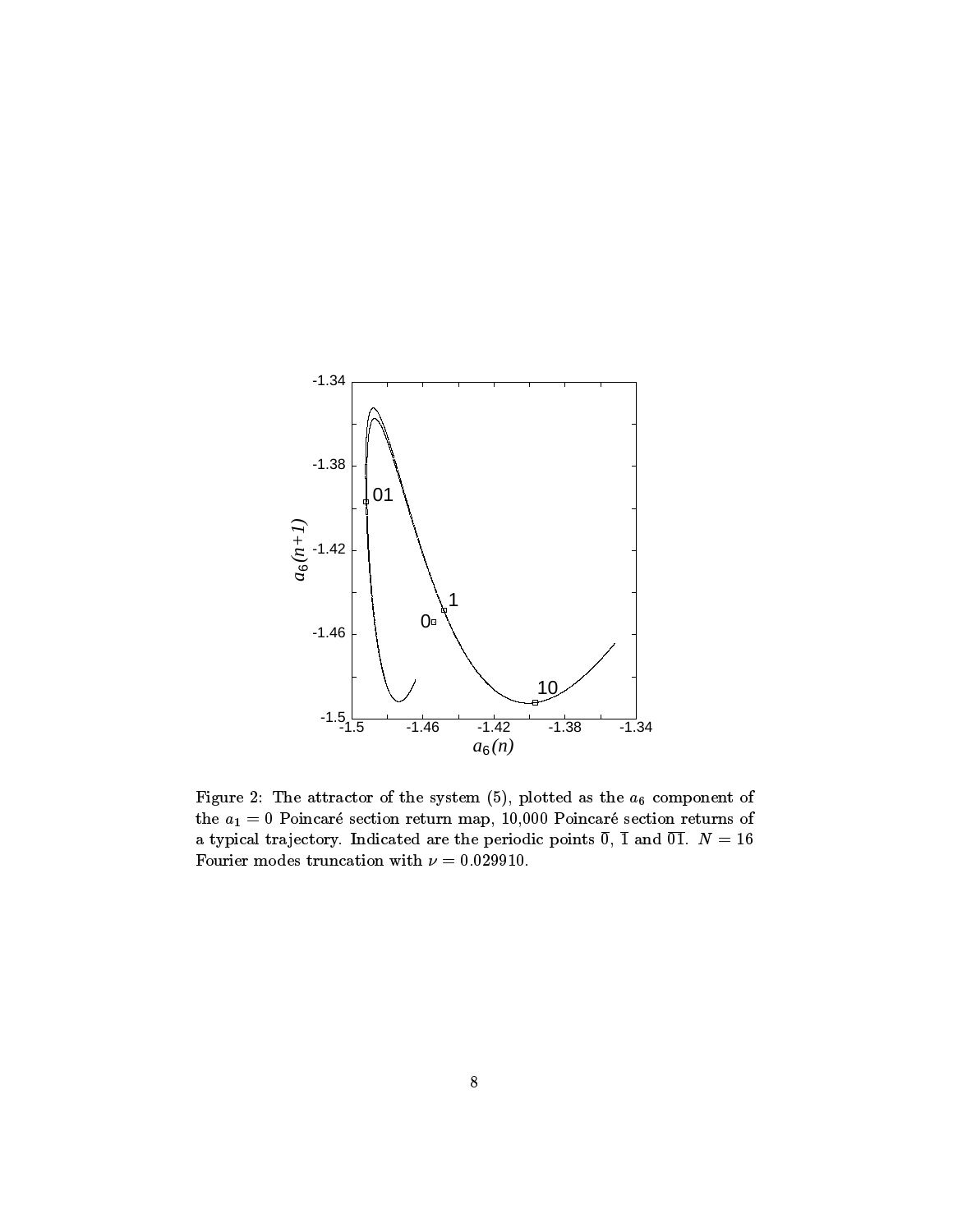

Figure 2: The attractor of the system (5), plotted as the  $a_6$  component of the  $a_1 = 0$  Poincaré section return map, 10,000 Poincaré section returns of a typical trajectory. Indicated are the periodic points  $\overline{0}$ ,  $\overline{1}$  and  $\overline{01}$ .  $N = 16$ Fourier modes truncation with  $\nu = 0.029910$ .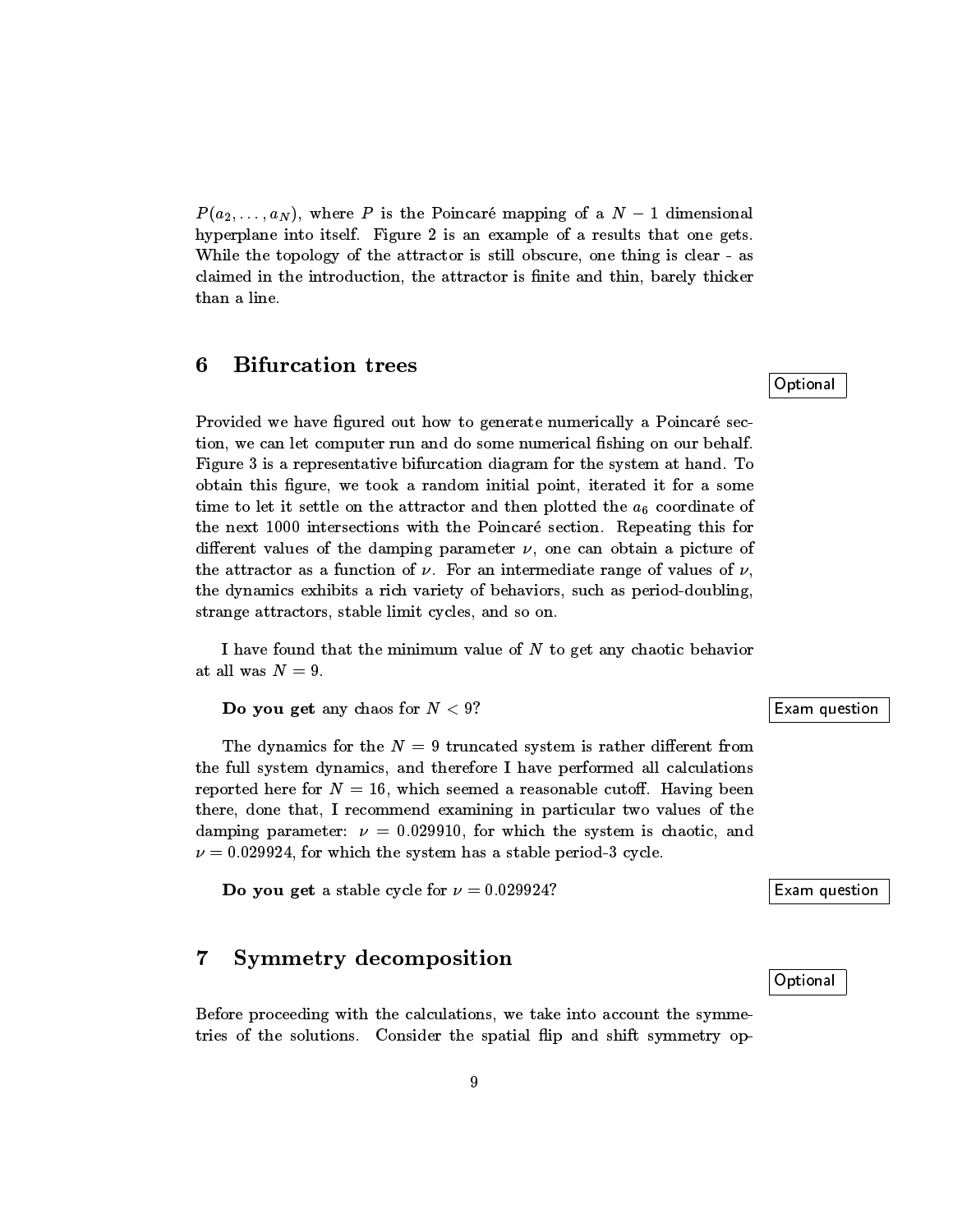$P(a_2,..., a_N)$ , where P is the Poincaré mapping of a  $N-1$  dimensional hyperplane into itself. Figure 2 is an example of a results that one gets. While the topology of the attractor is still obscure, one thing is clear - as claimed in the introduction, the attractor is finite and thin, barely thicker than a line.

#### 6Bifurcation trees

Provided we have figured out how to generate numerically a Poincaré section, we can let computer run and do some numerical fishing on our behalf. Figure 3 is a representative bifurcation diagram for the system at hand. To obtain this figure, we took a random initial point, iterated it for a some time to let it settle on the attractor and then plotted the  $a_6$  coordinate of the next 1000 intersections with the Poincaré section. Repeating this for different values of the damping parameter  $\nu$ , one can obtain a picture of the attractor as a function of  $\nu$ . For an intermediate range of values of  $\nu$ , the dynamics exhibits a rich variety of behaviors, such as period-doubling, strange attractors, stable limit cycles, and so on.

I have found that the minimum value of  $N$  to get any chaotic behavior at all was  $N = 9$ .

Do you get any chaos for  $N < 9$ ? Exam question

The dynamics for the  $N = 9$  truncated system is rather different from the full system dynamics, and therefore I have performed all calculations reported here for  $N = 16$ , which seemed a reasonable cutoff. Having been there, done that, I recommend examining in particular two values of the damping parameter:  $\nu = 0.029910$ , for which the system is chaotic, and  $\nu = 0.029924$ , for which the system has a stable period-3 cycle.

**Do you get** a stable cycle for  $\nu = 0.029924$ ? Exam question

#### 7Symmetry decomposition

Before proceeding with the calculations, we take into account the symmetries of the solutions. Consider the spatial flip and shift symmetry op**Optional** 

Optional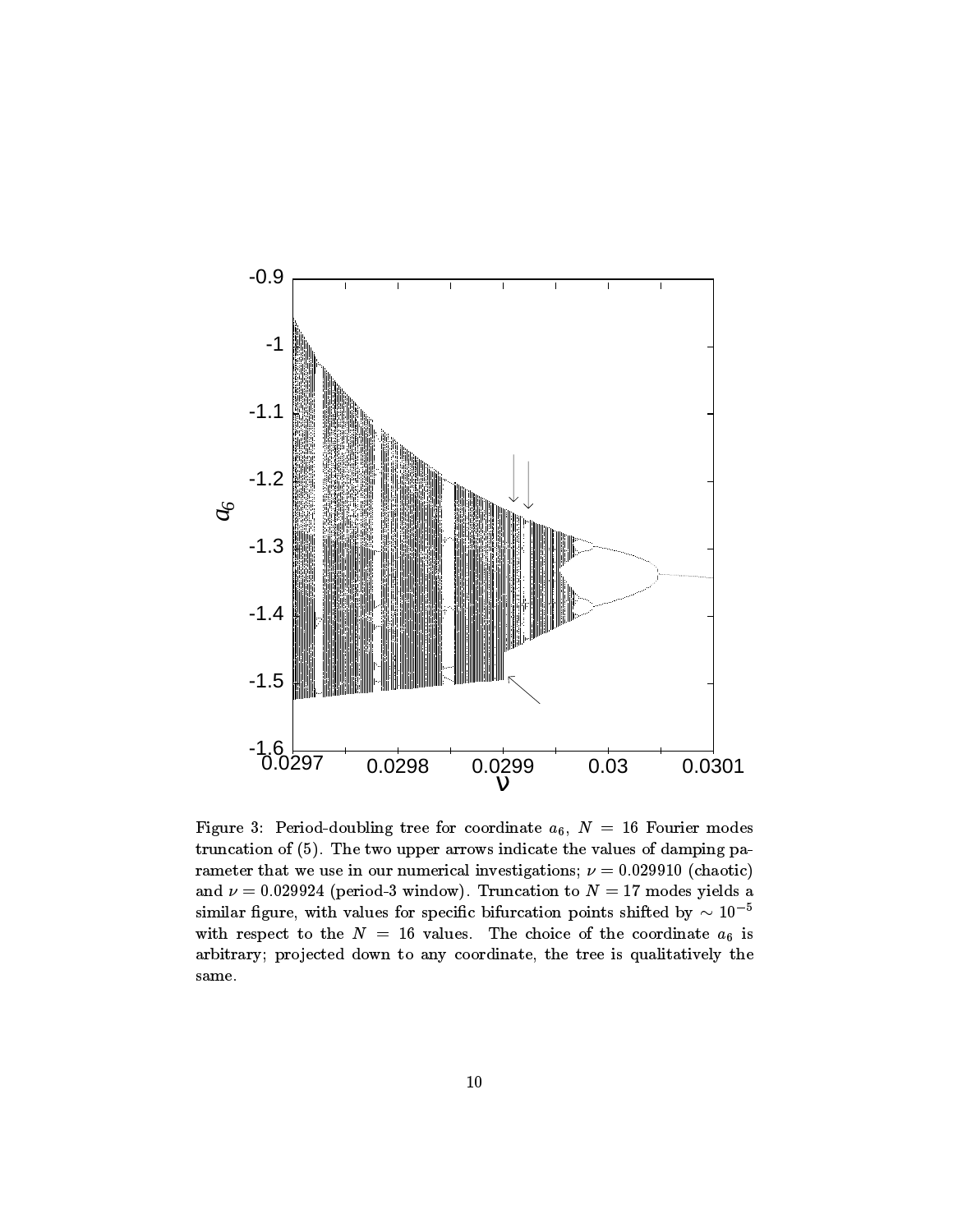

Figure 3: Period-doubling tree for coordinate  $a_6$ ,  $N = 16$  Fourier modes truncation of (5). The two upper arrows indicate the values of damping parameter that we use in our numerical investigations;  $\nu = 0.029910$  (chaotic) and  $\nu = 0.029924$  (period-3 window). Truncation to  $N = 17$  modes yields a similar figure, with values for specific bifurcation points shifted by  $\sim 10^{-5}$ with respect to the  $N = 16$  values. The choice of the coordinate  $a_6$  is arbitrary; projected down to any coordinate, the tree is qualitatively the same.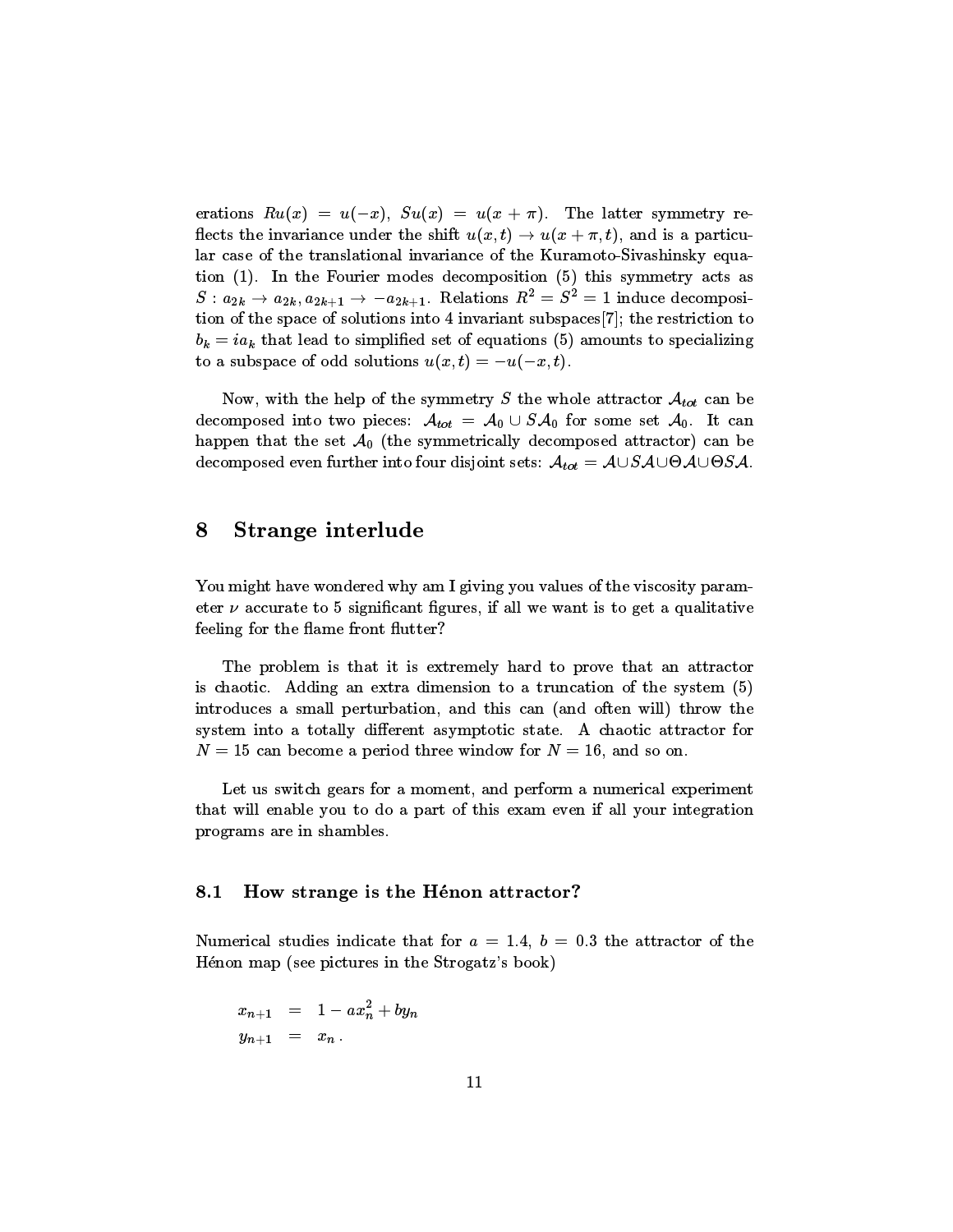erations  $Ru(x) = u(-x)$ ,  $Su(x) = u(x + \pi)$ . The latter symmetry reflects the invariance under the shift  $u(x, t) \rightarrow u(x + \pi, t)$ , and is a particular case of the translational invariance of the Kuramoto-Sivashinsky equation (1). In the Fourier modes decomposition (5) this symmetry acts as  $S: a_{2k} \rightarrow a_{2k}, a_{2k+1} \rightarrow -a_{2k+1}$ . Relations  $R^2 = S^2 = 1$  induce decomposition of the space of solutions into 4 invariant subspaces[7]; the restriction to  $b_k = ia_k$  that lead to simplified set of equations (5) amounts to specializing to a subspace of odd solutions  $u(x,t) = -u(-x,t)$ .

Now, with the help of the symmetry S the whole attractor  $\mathcal{A}_{tot}$  can be decomposed into two pieces:  $\mathcal{A}_{tot} = \mathcal{A}_0 \cup S \mathcal{A}_0$  for some set  $\mathcal{A}_0$ . It can happen that the set  $A_0$  (the symmetrically decomposed attractor) can be decomposed even further into four disjoint sets: Atot  $\alpha$  , and  $\alpha$  and  $\alpha$  and  $\alpha$ 

#### 8Strange interlude

You might have wondered why am I giving you values of the viscosity parameter  $\nu$  accurate to 5 significant figures, if all we want is to get a qualitative feeling for the flame front flutter?

The problem is that it is extremely hard to prove that an attractor is chaotic. Adding an extra dimension to a truncation of the system (5) introduces a small perturbation, and this can (and often will) throw the system into a totally different asymptotic state. A chaotic attractor for  $N = 15$  can become a period three window for  $N = 16$ , and so on.

Let us switch gears for a moment, and perform a numerical experiment that will enable you to do a part of this exam even if all your integration programs are in shambles.

#### 8.1How strange is the Henon attractor?

Numerical studies indicate that for  $a = 1.4$ ,  $b = 0.3$  the attractor of the Henon map (see pictures in the Strogatz's book)

$$
\begin{array}{rcl} x_{n+1} & = & 1 - ax_n^2 + by_n \\ y_{n+1} & = & x_n \, . \end{array}
$$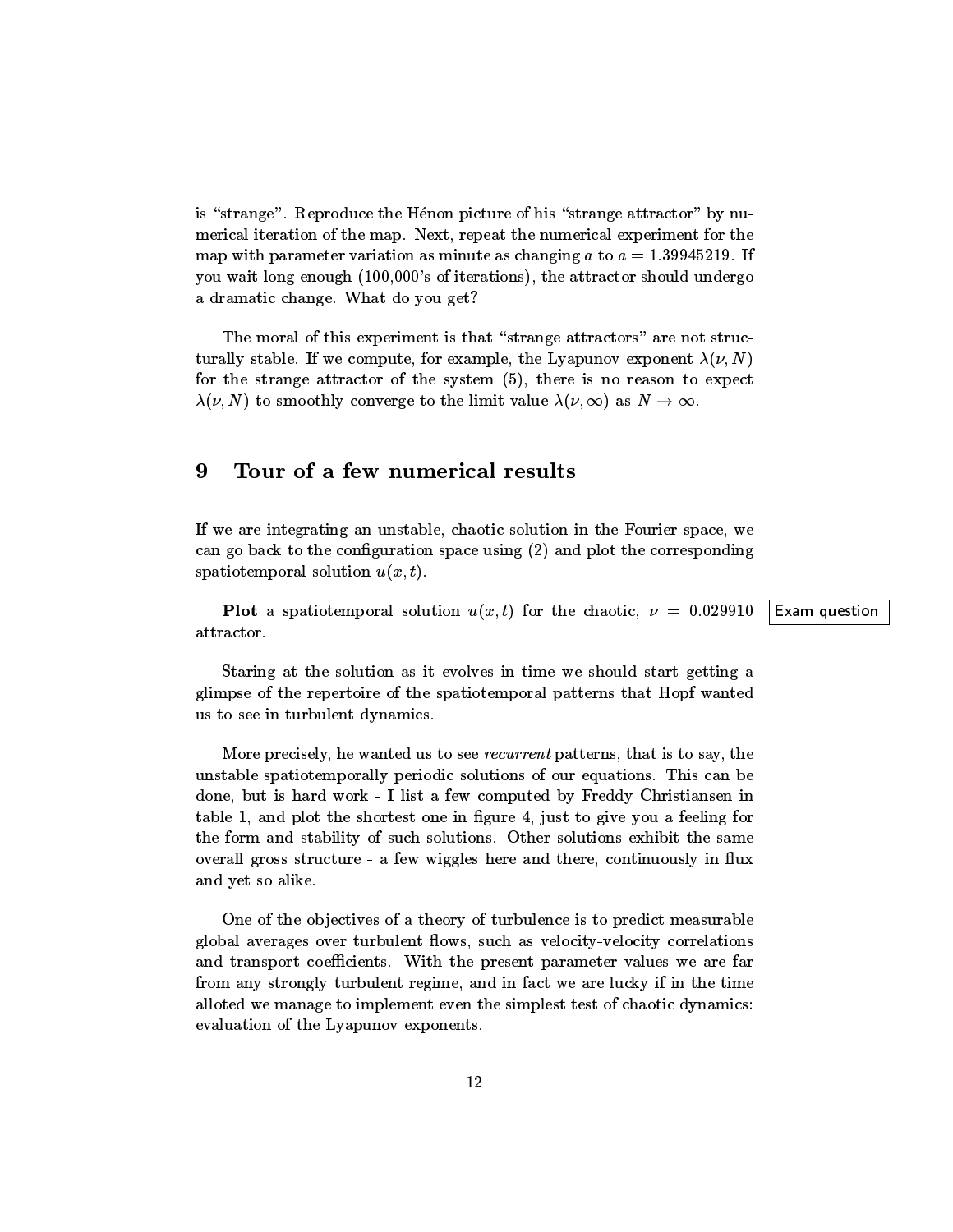is "strange". Reproduce the Hénon picture of his "strange attractor" by numerical iteration of the map. Next, repeat the numerical experiment for the map with parameter variation as minute as changing  $a$  to  $a = 1.39945219$ . If you wait long enough (100,000's of iterations), the attractor should undergo a dramatic change. What do you get?

The moral of this experiment is that "strange attractors" are not structurally stable. If we compute, for example, the Lyapunov exponent  $\lambda(\nu, N)$ for the strange attractor of the system  $(5)$ , there is no reason to expect  $\lambda(\nu, N)$  to smoothly converge to the limit value  $\lambda(\nu, \infty)$  as  $N \to \infty$ .

### 9Tour of <sup>a</sup> few numerical results

If we are integrating an unstable, chaotic solution in the Fourier space, we can go back to the configuration space using  $(2)$  and plot the corresponding spatiotemporal solution  $u(x, t)$ .

**Plot** a spatiotemporal solution  $u(x, t)$  for the chaotic,  $\nu = 0.029910$  Exam question attractor.

Staring at the solution as it evolves in time we should start getting a glimpse of the repertoire of the spatiotemporal patterns that Hopf wanted us to see in turbulent dynamics.

More precisely, he wanted us to see *recurrent* patterns, that is to say, the unstable spatiotemporally periodic solutions of our equations. This can be done, but is hard work - I list a few computed by Freddy Christiansen in table 1, and plot the shortest one in figure 4, just to give you a feeling for the form and stability of such solutions. Other solutions exhibit the same overall gross structure - a few wiggles here and there, continuously in ux and yet so alike.

One of the ob jectives of a theory of turbulence is to predict measurable global averages over turbulent flows, such as velocity-velocity correlations and transport coefficients. With the present parameter values we are far from any strongly turbulent regime, and in fact we are lucky if in the time alloted we manage to implement even the simplest test of chaotic dynamics: evaluation of the Lyapunov exponents.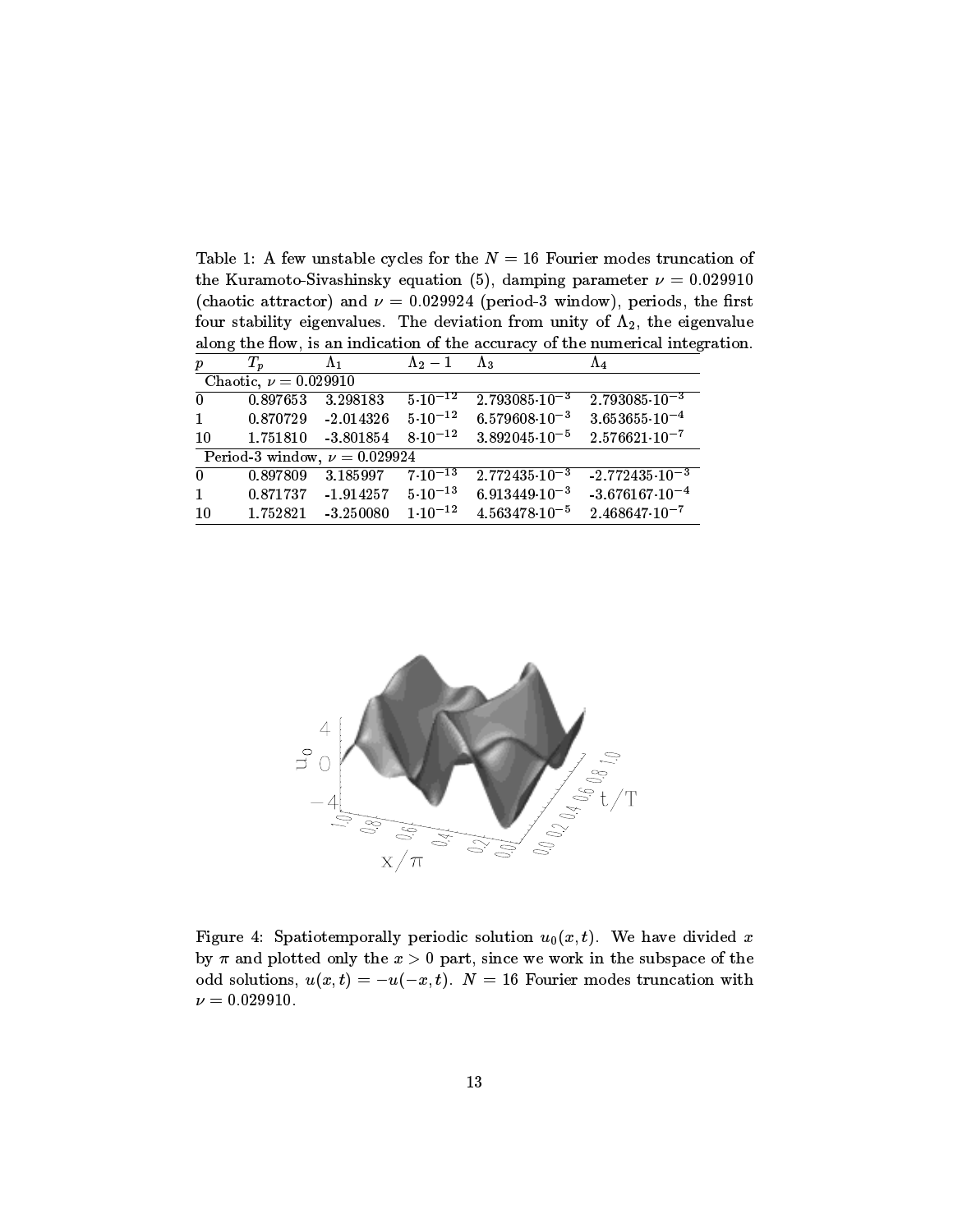Table 1: A few unstable cycles for the  $N = 16$  Fourier modes truncation of the Kuramoto-Sivashinsky equation (5), damping parameter  $\nu = 0.029910$ (chaotic attractor) and  $\nu = 0.029924$  (period-3 window), periods, the first four stability eigenvalues. The deviation from unity of  $\Lambda_2$ , the eigenvalue along the flow, is an indication of the accuracy of the numerical integration.

| $\boldsymbol{p}$ | $T_p$                               | $\Lambda_1$                                                | $\Lambda_2-1$      | $\Lambda_3$                                                                               | $\Lambda_4$                                        |
|------------------|-------------------------------------|------------------------------------------------------------|--------------------|-------------------------------------------------------------------------------------------|----------------------------------------------------|
|                  | Chaotic, $\nu = 0.029910$           |                                                            |                    |                                                                                           |                                                    |
|                  | $0 \qquad 0.897653 \qquad 3.298183$ |                                                            | $5 \cdot 10^{-12}$ | $2.793085 \cdot 10^{-3}$                                                                  | $2.793085\!\cdot\!10^{-3}$                         |
|                  |                                     |                                                            |                    | $1 \qquad 0.870729 \qquad 2.014326 \qquad 5 \cdot 10^{-12} \qquad 6.579608 \cdot 10^{-3}$ | $3.653655 \cdot 10^{-4}$                           |
| 10               | $1.751810 - 3.801854$               |                                                            |                    | $8\cdot10^{-12}$ $3.892045\cdot10^{-5}$ $2.576621\cdot10^{-7}$                            |                                                    |
|                  |                                     | Period-3 window, $\nu = 0.029924$                          |                    |                                                                                           |                                                    |
| $\mathbf{0}$     |                                     | $0.897809$ $3.185997$ $7.10^{-13}$                         |                    |                                                                                           | $2.772435 \cdot 10^{-3}$ $-2.772435 \cdot 10^{-3}$ |
|                  |                                     | $1 \qquad 0.871737 \quad -1.914257 \quad 5 \cdot 10^{-13}$ |                    | $6.913449\!\cdot\!10^{-3}$                                                                | $-3.676167 \cdot 10^{-4}$                          |
| 10               | 1.752821                            | $-3.250080$                                                |                    | $1\cdot10^{-12}$ $4.563478\cdot10^{-5}$ $2.468647\cdot10^{-7}$                            |                                                    |



Figure 4: Spatiotemporally periodic solution  $u_0(x, t)$ . We have divided x by  $\pi$  and plotted only the  $x > 0$  part, since we work in the subspace of the odd solutions,  $u(x, t) = -u(-x, t)$ .  $N = 16$  Fourier modes truncation with  $\nu = 0.029910.$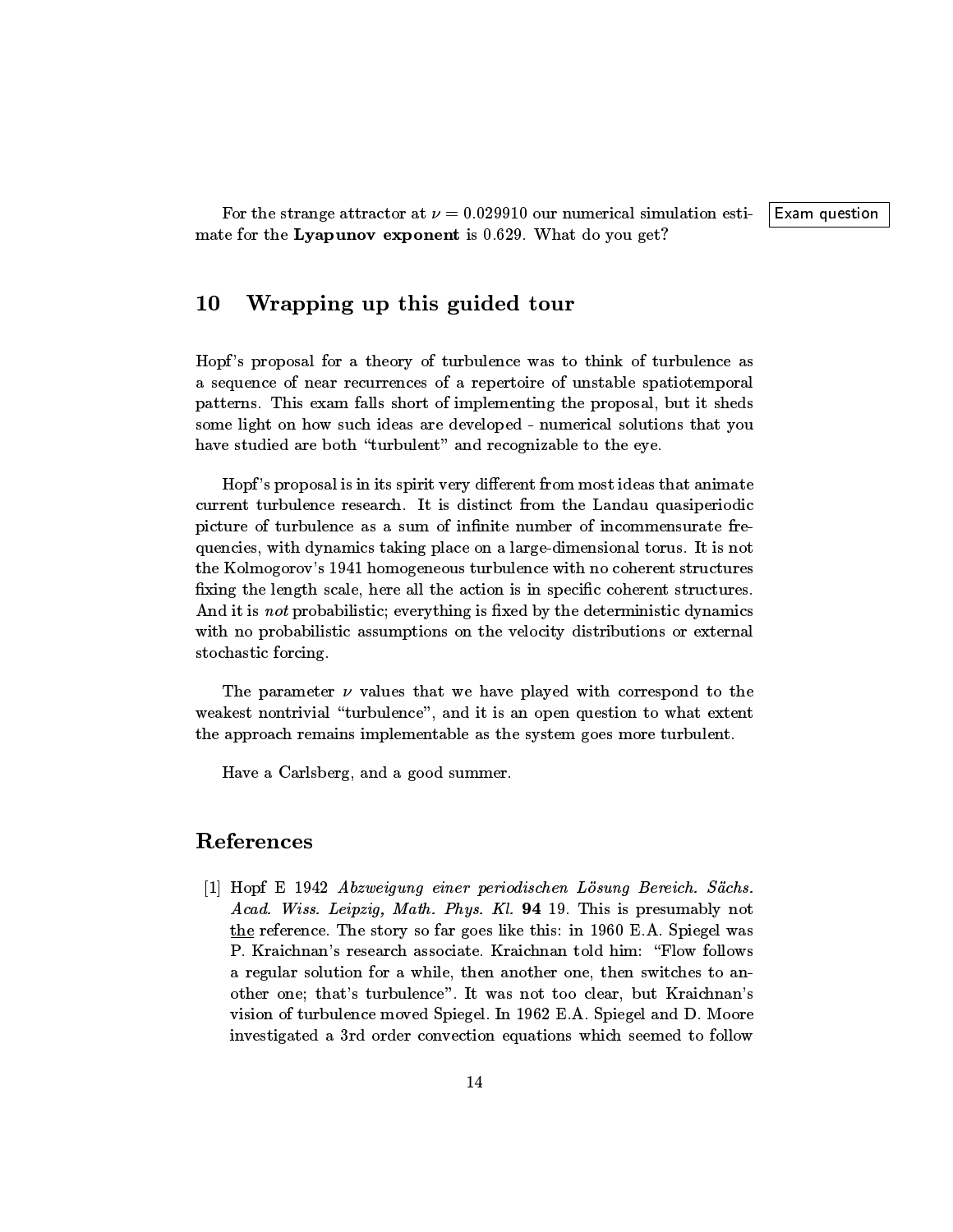#### 10Wrapping up this guided tour

Hopf's proposal for a theory of turbulence was to think of turbulence as a sequence of near recurrences of a repertoire of unstable spatiotemporal patterns. This exam falls short of implementing the proposal, but it sheds some light on how such ideas are developed - numerical solutions that you have studied are both "turbulent" and recognizable to the eye.

Hopf's proposal is in its spirit very different from most ideas that animate current turbulence research. It is distinct from the Landau quasiperiodic picture of turbulence as a sum of infinite number of incommensurate frequencies, with dynamics taking place on alarge-dimensional torus. It is not the Kolmogorov's 1941 homogeneous turbulence with no coherent structures fixing the length scale, here all the action is in specific coherent structures. And it is *not* probabilistic; everything is fixed by the deterministic dynamics with no probabilistic assumptions on the velocity distributions or external stochastic forcing.

The parameter  $\nu$  values that we have played with correspond to the weakest nontrivial "turbulence", and it is an open question to what extent the approach remains implementable as the system goes more turbulent.

Have a Carlsberg, and a good summer.

# References

[1] Hopf E 1942 Abzweigung einer periodischen Lösung Bereich. Sächs. Acad. Wiss. Leipzig, Math. Phys. Kl. 94 19. This is presumably not the reference. The story so far goes like this: in 1960 E.A. Spiegel was P. Kraichnan's research associate. Kraichnan told him:\Flow follows a regular solution for a while, then another one, then switches to another one; that's turbulence". It was not too clear, but Kraichnan's vision of turbulence moved Spiegel. In 1962 E.A. Spiegel and D. Moore investigated a3rd order convection equations which seemed to follow